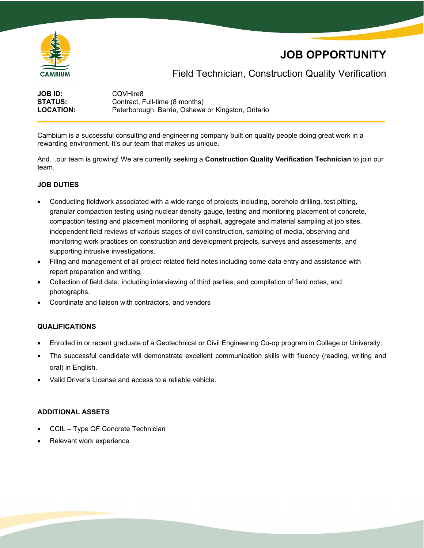

# **JOB OPPORTUNITY**

## Field Technician, Construction Quality Verification

| <b>JOB ID:</b>   | CQVHire8                                          |
|------------------|---------------------------------------------------|
| <b>STATUS:</b>   | Contract, Full-time (8 months)                    |
| <b>LOCATION:</b> | Peterborough, Barrie, Oshawa or Kingston, Ontario |

Cambium is a successful consulting and engineering company built on quality people doing great work in a rewarding environment. It's our team that makes us unique.

And…our team is growing! We are currently seeking a **Construction Quality Verification Technician** to join our team.

### **JOB DUTIES**

- Conducting fieldwork associated with a wide range of projects including, borehole drilling, test pitting, granular compaction testing using nuclear density gauge, testing and monitoring placement of concrete, compaction testing and placement monitoring of asphalt, aggregate and material sampling at job sites, independent field reviews of various stages of civil construction, sampling of media, observing and monitoring work practices on construction and development projects, surveys and assessments, and supporting intrusive investigations.
- Filing and management of all project-related field notes including some data entry and assistance with report preparation and writing.
- Collection of field data, including interviewing of third parties, and compilation of field notes, and photographs.
- Coordinate and liaison with contractors, and vendors

#### **QUALIFICATIONS**

- Enrolled in or recent graduate of a Geotechnical or Civil Engineering Co-op program in College or University.
- The successful candidate will demonstrate excellent communication skills with fluency (reading, writing and oral) in English.
- Valid Driver's License and access to a reliable vehicle.

#### **ADDITIONAL ASSETS**

- CCIL Type QF Concrete Technician
- Relevant work experience